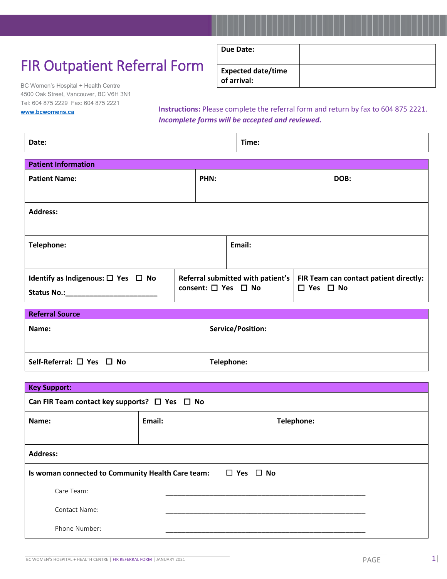## FIR Outpatient Referral Form

BC Women's Hospital + Health Centre 4500 Oak Street, Vancouver, BC V6H 3N1 Tel: 604 875 2229 Fax: 604 875 2221

| Due Date:                                |  |
|------------------------------------------|--|
|                                          |  |
| <b>Expected date/time</b><br>of arrival: |  |

**[www.bcwomens.ca](http://www.bcwomens.ca/)**

Г

**Instructions:** Please complete the referral form and return by fax to 604 875 2221. *Incomplete forms will be accepted and reviewed.*

| Date:                                              |                                     | Time:  |                                        |      |
|----------------------------------------------------|-------------------------------------|--------|----------------------------------------|------|
| <b>Patient Information</b>                         |                                     |        |                                        |      |
| <b>Patient Name:</b>                               | PHN:                                |        |                                        | DOB: |
|                                                    |                                     |        |                                        |      |
| <b>Address:</b>                                    |                                     |        |                                        |      |
|                                                    |                                     |        |                                        |      |
| Telephone:                                         |                                     | Email: |                                        |      |
|                                                    |                                     |        |                                        |      |
| Identify as Indigenous: $\square$ Yes $\square$ No | Referral submitted with patient's   |        | FIR Team can contact patient directly: |      |
| <b>Status No.:</b>                                 | consent: $\square$ Yes $\square$ No |        | $\Box$ Yes $\Box$ No                   |      |

| <b>Referral Source</b>                    |                          |  |
|-------------------------------------------|--------------------------|--|
| Name:                                     | <b>Service/Position:</b> |  |
|                                           |                          |  |
| Self-Referral: $\square$ Yes $\square$ No | Telephone:               |  |

| <b>Key Support:</b>                                                    |        |            |  |
|------------------------------------------------------------------------|--------|------------|--|
| Can FIR Team contact key supports? $\Box$ Yes $\Box$ No                |        |            |  |
| Name:                                                                  | Email: | Telephone: |  |
|                                                                        |        |            |  |
| <b>Address:</b>                                                        |        |            |  |
| Is woman connected to Community Health Care team: $\Box$ Yes $\Box$ No |        |            |  |
| Care Team:                                                             |        |            |  |
| Contact Name:                                                          |        |            |  |
| Phone Number:                                                          |        |            |  |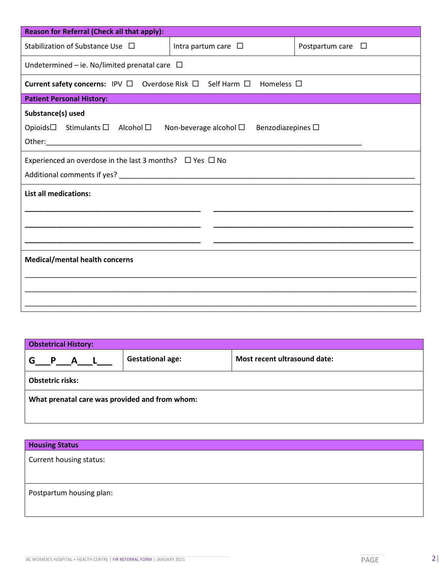| Intra partum care $\Box$                             | Postpartum care $\square$                                                                                                                                                                                                                                                         |  |  |  |
|------------------------------------------------------|-----------------------------------------------------------------------------------------------------------------------------------------------------------------------------------------------------------------------------------------------------------------------------------|--|--|--|
|                                                      |                                                                                                                                                                                                                                                                                   |  |  |  |
|                                                      |                                                                                                                                                                                                                                                                                   |  |  |  |
|                                                      |                                                                                                                                                                                                                                                                                   |  |  |  |
| Substance(s) used<br>Opioids□ Stimulants □ Alcohol □ |                                                                                                                                                                                                                                                                                   |  |  |  |
|                                                      |                                                                                                                                                                                                                                                                                   |  |  |  |
|                                                      |                                                                                                                                                                                                                                                                                   |  |  |  |
|                                                      |                                                                                                                                                                                                                                                                                   |  |  |  |
| <b>List all medications:</b>                         |                                                                                                                                                                                                                                                                                   |  |  |  |
|                                                      |                                                                                                                                                                                                                                                                                   |  |  |  |
|                                                      |                                                                                                                                                                                                                                                                                   |  |  |  |
| <b>Medical/mental health concerns</b>                |                                                                                                                                                                                                                                                                                   |  |  |  |
|                                                      |                                                                                                                                                                                                                                                                                   |  |  |  |
|                                                      |                                                                                                                                                                                                                                                                                   |  |  |  |
|                                                      | Undetermined – ie. No/limited prenatal care $\Box$<br>Current safety concerns: IPV $\Box$ Overdose Risk $\Box$ Self Harm $\Box$<br>Homeless $\Box$<br>Non-beverage alcohol $\Box$<br>Benzodiazepines $\Box$<br>Experienced an overdose in the last 3 months? $\Box$ Yes $\Box$ No |  |  |  |

| <b>Obstetrical History:</b>                    |                         |                              |  |
|------------------------------------------------|-------------------------|------------------------------|--|
| G P A L                                        | <b>Gestational age:</b> | Most recent ultrasound date: |  |
| <b>Obstetric risks:</b>                        |                         |                              |  |
| What prenatal care was provided and from whom: |                         |                              |  |
|                                                |                         |                              |  |

| <b>Housing Status</b>    |  |
|--------------------------|--|
| Current housing status:  |  |
|                          |  |
| Postpartum housing plan: |  |
|                          |  |